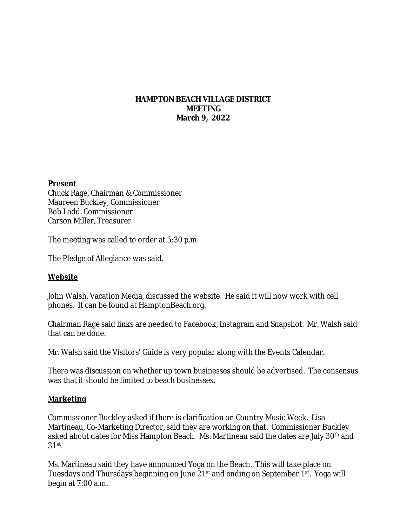#### **HAMPTON BEACH VILLAGE DISTRICT MEETING March 9, 2022**

#### **Present**

Chuck Rage, Chairman & Commissioner Maureen Buckley, Commissioner Bob Ladd, Commissioner Carson Miller, Treasurer

The meeting was called to order at 5:30 p.m.

The Pledge of Allegiance was said.

## **Website**

John Walsh, Vacation Media, discussed the website. He said it will now work with cell phones. It can be found at HamptonBeach.org.

Chairman Rage said links are needed to Facebook, Instagram and Snapshot. Mr. Walsh said that can be done.

Mr. Walsh said the Visitors' Guide is very popular along with the Events Calendar.

There was discussion on whether up town businesses should be advertised. The consensus was that it should be limited to beach businesses.

#### **Marketing**

Commissioner Buckley asked if there is clarification on Country Music Week. Lisa Martineau, Co-Marketing Director, said they are working on that. Commissioner Buckley asked about dates for Miss Hampton Beach. Ms. Martineau said the dates are July 30<sup>th</sup> and 31st .

Ms. Martineau said they have announced Yoga on the Beach. This will take place on Tuesdays and Thursdays beginning on June 21<sup>st</sup> and ending on September 1<sup>st</sup>. Yoga will begin at 7:00 a.m.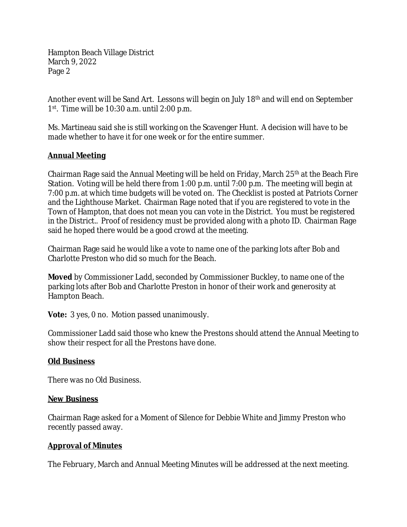Hampton Beach Village District March 9, 2022 Page 2

Another event will be Sand Art. Lessons will begin on July 18th and will end on September 1 st. Time will be 10:30 a.m. until 2:00 p.m.

Ms. Martineau said she is still working on the Scavenger Hunt. A decision will have to be made whether to have it for one week or for the entire summer.

# **Annual Meeting**

Chairman Rage said the Annual Meeting will be held on Friday, March  $25<sup>th</sup>$  at the Beach Fire Station. Voting will be held there from 1:00 p.m. until 7:00 p.m. The meeting will begin at 7:00 p.m. at which time budgets will be voted on. The Checklist is posted at Patriots Corner and the Lighthouse Market. Chairman Rage noted that if you are registered to vote in the Town of Hampton, that does not mean you can vote in the District. You must be registered in the District.. Proof of residency must be provided along with a photo ID. Chairman Rage said he hoped there would be a good crowd at the meeting.

Chairman Rage said he would like a vote to name one of the parking lots after Bob and Charlotte Preston who did so much for the Beach.

**Moved** by Commissioner Ladd, seconded by Commissioner Buckley, to name one of the parking lots after Bob and Charlotte Preston in honor of their work and generosity at Hampton Beach.

**Vote:** 3 yes, 0 no. Motion passed unanimously.

Commissioner Ladd said those who knew the Prestons should attend the Annual Meeting to show their respect for all the Prestons have done.

## **Old Business**

There was no Old Business.

## **New Business**

Chairman Rage asked for a Moment of Silence for Debbie White and Jimmy Preston who recently passed away.

## **Approval of Minutes**

The February, March and Annual Meeting Minutes will be addressed at the next meeting.